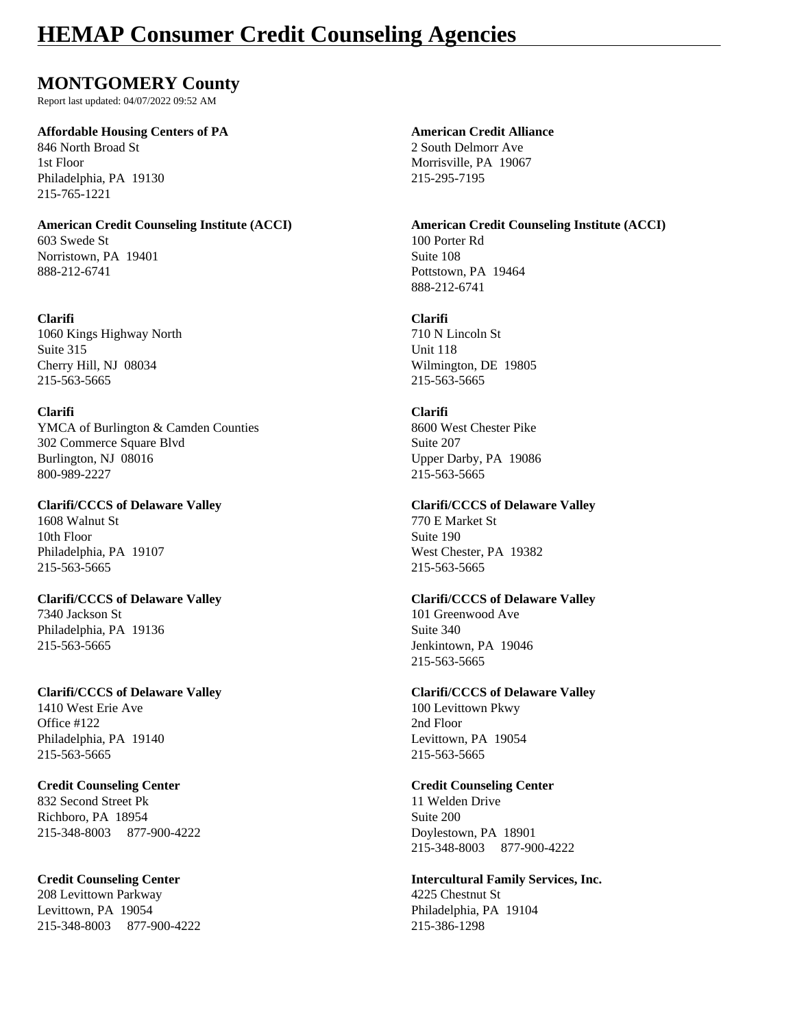## **HEMAP Consumer Credit Counseling Agencies**

### **MONTGOMERY County**

Report last updated: 04/07/2022 09:52 AM

### **Affordable Housing Centers of PA American Credit Alliance**

846 North Broad St 2 South Delmorr Ave 1st Floor Morrisville, PA 19067 Philadelphia, PA 19130 215-295-7195 215-765-1221

603 Swede St 100 Porter Rd Norristown, PA 19401 Suite 108 888-212-6741 Pottstown, PA 19464

### **Clarifi Clarifi**

1060 Kings Highway North 710 N Lincoln St Suite 315 Unit 118 Cherry Hill, NJ 08034 Wilmington, DE 19805 215-563-5665 215-563-5665

### **Clarifi Clarifi**

YMCA of Burlington & Camden Counties 8600 West Chester Pike 302 Commerce Square Blvd Suite 207 Burlington, NJ 08016 Upper Darby, PA 19086 800-989-2227 215-563-5665

1608 Walnut St 770 E Market St 10th Floor Suite 190 Philadelphia, PA 19107 West Chester, PA 19382 215-563-5665 215-563-5665

7340 Jackson St 101 Greenwood Ave Philadelphia, PA 19136 Suite 340 215-563-5665 Jenkintown, PA 19046

### **Clarifi/CCCS of Delaware Valley Clarifi/CCCS of Delaware Valley** 1410 West Erie Ave 100 Levittown Pkwy Office #122 2nd Floor Philadelphia, PA 19140 Levittown, PA 19054 215-563-5665 215-563-5665

### **Credit Counseling Center Credit Counseling Center**

832 Second Street Pk 11 Welden Drive Richboro, PA 18954 Suite 200 215-348-8003 877-900-4222 Doylestown, PA 18901

208 Levittown Parkway 4225 Chestnut St Levittown, PA 19054 **Philadelphia**, PA 19104 215-348-8003 877-900-4222 215-386-1298

**American Credit Counseling Institute (ACCI) American Credit Counseling Institute (ACCI)** 888-212-6741

### **Clarifi/CCCS of Delaware Valley Clarifi/CCCS of Delaware Valley**

### **Clarifi/CCCS of Delaware Valley Clarifi/CCCS of Delaware Valley**

215-563-5665

215-348-8003 877-900-4222

# **Credit Counseling Center Intercultural Family Services, Inc.**